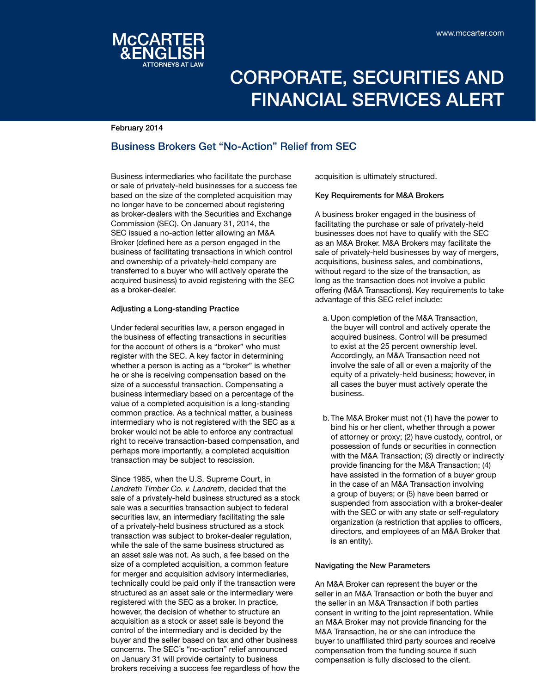

# Corporate, Securities and Financial Services Alert

February 2014

## Business Brokers Get "No-Action" Relief from SEC

Business intermediaries who facilitate the purchase or sale of privately-held businesses for a success fee based on the size of the completed acquisition may no longer have to be concerned about registering as broker-dealers with the Securities and Exchange Commission (SEC). On January 31, 2014, the SEC issued a no-action letter allowing an M&A Broker (defined here as a person engaged in the business of facilitating transactions in which control and ownership of a privately-held company are transferred to a buyer who will actively operate the acquired business) to avoid registering with the SEC as a broker-dealer.

### Adjusting a Long-standing Practice

Under federal securities law, a person engaged in the business of effecting transactions in securities for the account of others is a "broker" who must register with the SEC. A key factor in determining whether a person is acting as a "broker" is whether he or she is receiving compensation based on the size of a successful transaction. Compensating a business intermediary based on a percentage of the value of a completed acquisition is a long-standing common practice. As a technical matter, a business intermediary who is not registered with the SEC as a broker would not be able to enforce any contractual right to receive transaction-based compensation, and perhaps more importantly, a completed acquisition transaction may be subject to rescission.

Since 1985, when the U.S. Supreme Court, in *Landreth Timber Co. v. Landreth*, decided that the sale of a privately-held business structured as a stock sale was a securities transaction subject to federal securities law, an intermediary facilitating the sale of a privately-held business structured as a stock transaction was subject to broker-dealer regulation, while the sale of the same business structured as an asset sale was not. As such, a fee based on the size of a completed acquisition, a common feature for merger and acquisition advisory intermediaries, technically could be paid only if the transaction were structured as an asset sale or the intermediary were registered with the SEC as a broker. In practice, however, the decision of whether to structure an acquisition as a stock or asset sale is beyond the control of the intermediary and is decided by the buyer and the seller based on tax and other business concerns. The SEC's "no-action" relief announced on January 31 will provide certainty to business brokers receiving a success fee regardless of how the

acquisition is ultimately structured.

### Key Requirements for M&A Brokers

A business broker engaged in the business of facilitating the purchase or sale of privately-held businesses does not have to qualify with the SEC as an M&A Broker. M&A Brokers may facilitate the sale of privately-held businesses by way of mergers, acquisitions, business sales, and combinations, without regard to the size of the transaction, as long as the transaction does not involve a public offering (M&A Transactions). Key requirements to take advantage of this SEC relief include:

- a. Upon completion of the M&A Transaction, the buyer will control and actively operate the acquired business. Control will be presumed to exist at the 25 percent ownership level. Accordingly, an M&A Transaction need not involve the sale of all or even a majority of the equity of a privately-held business; however, in all cases the buyer must actively operate the business.
- b.The M&A Broker must not (1) have the power to bind his or her client, whether through a power of attorney or proxy; (2) have custody, control, or possession of funds or securities in connection with the M&A Transaction: (3) directly or indirectly provide financing for the M&A Transaction; (4) have assisted in the formation of a buyer group in the case of an M&A Transaction involving a group of buyers; or (5) have been barred or suspended from association with a broker-dealer with the SEC or with any state or self-regulatory organization (a restriction that applies to officers, directors, and employees of an M&A Broker that is an entity).

### Navigating the New Parameters

An M&A Broker can represent the buyer or the seller in an M&A Transaction or both the buyer and the seller in an M&A Transaction if both parties consent in writing to the joint representation. While an M&A Broker may not provide financing for the M&A Transaction, he or she can introduce the buyer to unaffiliated third party sources and receive compensation from the funding source if such compensation is fully disclosed to the client.